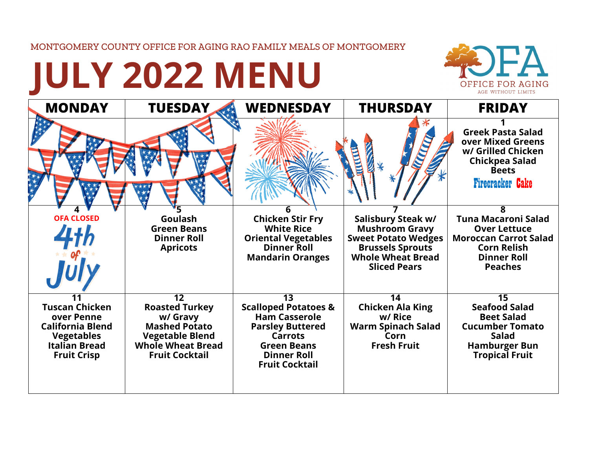MONTGOMERY COUNTY OFFICE FOR AGING RAO FAMILY MEALS OF MONTGOMERY

## **JULY 2022 MENU**



| <b>MONDAY</b>                                                                                                                     | <b>TUESDAY</b>                                                                                                                                              | <b>WEDNESDAY</b>                                                                                                                                                                | <b>THURSDAY</b>                                                                                                                                         | <b>FRIDAY</b>                                                                                                                                        |
|-----------------------------------------------------------------------------------------------------------------------------------|-------------------------------------------------------------------------------------------------------------------------------------------------------------|---------------------------------------------------------------------------------------------------------------------------------------------------------------------------------|---------------------------------------------------------------------------------------------------------------------------------------------------------|------------------------------------------------------------------------------------------------------------------------------------------------------|
|                                                                                                                                   |                                                                                                                                                             |                                                                                                                                                                                 |                                                                                                                                                         | <b>Greek Pasta Salad</b><br>over Mixed Greens<br>w/ Grilled Chicken<br>Chickpea Salad<br><b>Beets</b><br><b>Firecracker Cake</b>                     |
| <b>OFA CLOSED</b>                                                                                                                 | Goulash<br><b>Green Beans</b><br><b>Dinner Roll</b><br><b>Apricots</b>                                                                                      | 6<br><b>Chicken Stir Fry</b><br><b>White Rice</b><br><b>Oriental Vegetables</b><br><b>Dinner Roll</b><br><b>Mandarin Oranges</b>                                                | Salisbury Steak w/<br><b>Mushroom Gravy</b><br><b>Sweet Potato Wedges</b><br><b>Brussels Sprouts</b><br><b>Whole Wheat Bread</b><br><b>Sliced Pears</b> | ጸ<br><b>Tuna Macaroni Salad</b><br><b>Over Lettuce</b><br><b>Moroccan Carrot Salad</b><br><b>Corn Relish</b><br><b>Dinner Roll</b><br><b>Peaches</b> |
| <b>Tuscan Chicken</b><br>over Penne<br><b>California Blend</b><br><b>Vegetables</b><br><b>Italian Bread</b><br><b>Fruit Crisp</b> | $\overline{12}$<br><b>Roasted Turkey</b><br>w/ Gravy<br><b>Mashed Potato</b><br><b>Vegetable Blend</b><br><b>Whole Wheat Bread</b><br><b>Fruit Cocktail</b> | 13<br><b>Scalloped Potatoes &amp;</b><br><b>Ham Casserole</b><br><b>Parsley Buttered</b><br><b>Carrots</b><br><b>Green Beans</b><br><b>Dinner Roll</b><br><b>Fruit Cocktail</b> | 14<br><b>Chicken Ala King</b><br>w/ Rice<br><b>Warm Spinach Salad</b><br>Corn<br><b>Fresh Fruit</b>                                                     | 15<br><b>Seafood Salad</b><br><b>Beet Salad</b><br><b>Cucumber Tomato</b><br><b>Salad</b><br><b>Hamburger Bun</b><br><b>Tropical Fruit</b>           |